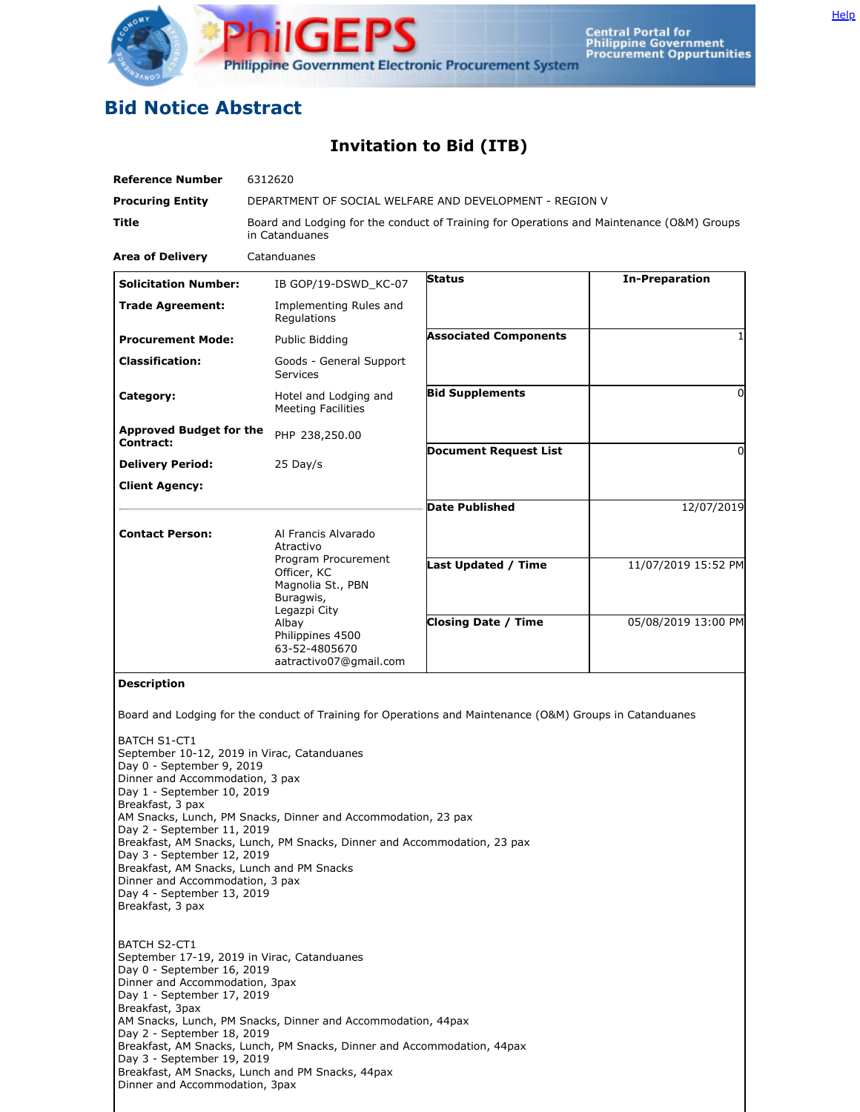

## **Bid Notice Abstract**

## **Invitation to Bid (ITB)**

| <b>Reference Number</b>                                       | 6312620                                                                                                     |                                                                                                          |                       |
|---------------------------------------------------------------|-------------------------------------------------------------------------------------------------------------|----------------------------------------------------------------------------------------------------------|-----------------------|
| <b>Procuring Entity</b>                                       | DEPARTMENT OF SOCIAL WELFARE AND DEVELOPMENT - REGION V                                                     |                                                                                                          |                       |
| Title                                                         | Board and Lodging for the conduct of Training for Operations and Maintenance (O&M) Groups<br>in Catanduanes |                                                                                                          |                       |
| <b>Area of Delivery</b>                                       | Catanduanes                                                                                                 |                                                                                                          |                       |
| <b>Solicitation Number:</b>                                   | IB GOP/19-DSWD_KC-07                                                                                        | <b>Status</b>                                                                                            | <b>In-Preparation</b> |
| <b>Trade Agreement:</b>                                       | Implementing Rules and<br>Regulations                                                                       |                                                                                                          |                       |
| <b>Procurement Mode:</b>                                      | Public Bidding                                                                                              | <b>Associated Components</b>                                                                             | $\mathbf{1}$          |
| <b>Classification:</b>                                        | Goods - General Support<br>Services                                                                         |                                                                                                          |                       |
| Category:                                                     | Hotel and Lodging and<br><b>Meeting Facilities</b>                                                          | <b>Bid Supplements</b>                                                                                   | $\Omega$              |
| <b>Approved Budget for the</b>                                | PHP 238,250.00                                                                                              |                                                                                                          |                       |
| Contract:                                                     |                                                                                                             | <b>Document Request List</b>                                                                             | 0                     |
| <b>Delivery Period:</b>                                       | $25$ Day/s                                                                                                  |                                                                                                          |                       |
| <b>Client Agency:</b>                                         |                                                                                                             |                                                                                                          |                       |
|                                                               |                                                                                                             | <b>Date Published</b>                                                                                    | 12/07/2019            |
| <b>Contact Person:</b>                                        | Al Francis Alvarado<br>Atractivo                                                                            |                                                                                                          |                       |
|                                                               | Program Procurement                                                                                         | Last Updated / Time                                                                                      | 11/07/2019 15:52 PM   |
|                                                               | Officer, KC                                                                                                 |                                                                                                          |                       |
|                                                               | Magnolia St., PBN<br>Buragwis,                                                                              |                                                                                                          |                       |
|                                                               | Legazpi City                                                                                                |                                                                                                          |                       |
|                                                               | Albay                                                                                                       | <b>Closing Date / Time</b>                                                                               | 05/08/2019 13:00 PM   |
|                                                               | Philippines 4500<br>63-52-4805670                                                                           |                                                                                                          |                       |
|                                                               | aatractivo07@gmail.com                                                                                      |                                                                                                          |                       |
| <b>Description</b>                                            |                                                                                                             |                                                                                                          |                       |
|                                                               |                                                                                                             |                                                                                                          |                       |
|                                                               |                                                                                                             | Board and Lodging for the conduct of Training for Operations and Maintenance (O&M) Groups in Catanduanes |                       |
| <b>BATCH S1-CT1</b>                                           |                                                                                                             |                                                                                                          |                       |
|                                                               | September 10-12, 2019 in Virac, Catanduanes                                                                 |                                                                                                          |                       |
| Day 0 - September 9, 2019                                     |                                                                                                             |                                                                                                          |                       |
| Dinner and Accommodation, 3 pax<br>Day 1 - September 10, 2019 |                                                                                                             |                                                                                                          |                       |
| Breakfast, 3 pax                                              |                                                                                                             |                                                                                                          |                       |
|                                                               | AM Snacks, Lunch, PM Snacks, Dinner and Accommodation, 23 pax                                               |                                                                                                          |                       |
| Day 2 - September 11, 2019                                    |                                                                                                             |                                                                                                          |                       |
| Day 3 - September 12, 2019                                    | Breakfast, AM Snacks, Lunch, PM Snacks, Dinner and Accommodation, 23 pax                                    |                                                                                                          |                       |
| Breakfast, AM Snacks, Lunch and PM Snacks                     |                                                                                                             |                                                                                                          |                       |
| Dinner and Accommodation, 3 pax                               |                                                                                                             |                                                                                                          |                       |
| Day 4 - September 13, 2019<br>Breakfast, 3 pax                |                                                                                                             |                                                                                                          |                       |
|                                                               |                                                                                                             |                                                                                                          |                       |
| <b>BATCH S2-CT1</b>                                           |                                                                                                             |                                                                                                          |                       |
| September 17-19, 2019 in Virac, Catanduanes                   |                                                                                                             |                                                                                                          |                       |
| Day 0 - September 16, 2019                                    |                                                                                                             |                                                                                                          |                       |
| Dinner and Accommodation, 3pax                                |                                                                                                             |                                                                                                          |                       |

Day 1 - September 17, 2019 Breakfast, 3pax AM Snacks, Lunch, PM Snacks, Dinner and Accommodation, 44pax Day 2 - September 18, 2019 Breakfast, AM Snacks, Lunch, PM Snacks, Dinner and Accommodation, 44pax Day 3 - September 19, 2019 Breakfast, AM Snacks, Lunch and PM Snacks, 44pax Dinner and Accommodation, 3pax